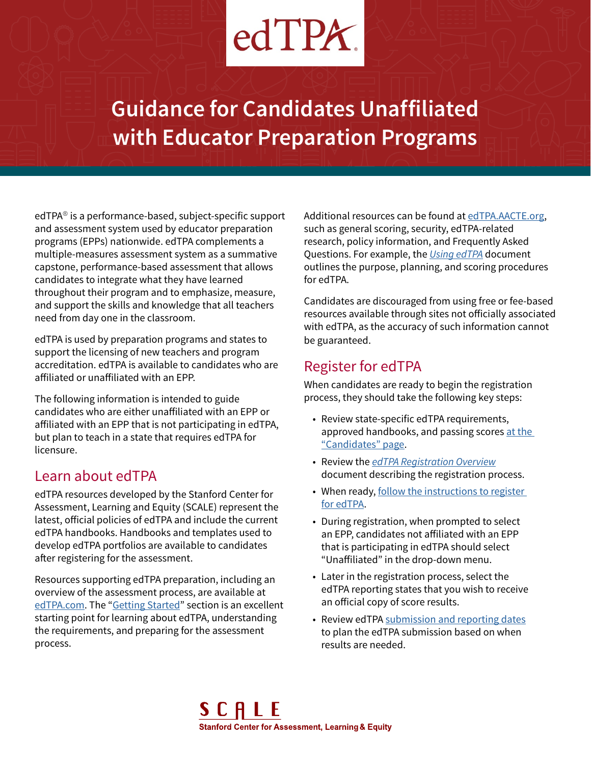# $edTPX$

**Guidance for Candidates Unaffiliated with Educator Preparation Programs**

edTPA® is a performance-based, subject-specific support and assessment system used by educator preparation programs (EPPs) nationwide. edTPA complements a multiple-measures assessment system as a summative capstone, performance-based assessment that allows candidates to integrate what they have learned throughout their program and to emphasize, measure, and support the skills and knowledge that all teachers need from day one in the classroom.

edTPA is used by preparation programs and states to support the licensing of new teachers and program accreditation. edTPA is available to candidates who are affiliated or unaffiliated with an EPP.

The following information is intended to guide candidates who are either unaffiliated with an EPP or affiliated with an EPP that is not participating in edTPA, but plan to teach in a state that requires edTPA for licensure.

#### Learn about edTPA

edTPA resources developed by the Stanford Center for Assessment, Learning and Equity (SCALE) represent the latest, official policies of edTPA and include the current edTPA handbooks. Handbooks and templates used to develop edTPA portfolios are available to candidates after registering for the assessment.

Resources supporting edTPA preparation, including an overview of the assessment process, are available at [edTPA.com.](http://edTPA.com) The "[Getting Started"](http://www.edtpa.com/PageView.aspx?f=GEN_GettingStarted.html) section is an excellent starting point for learning about edTPA, understanding the requirements, and preparing for the assessment process.

Additional resources can be found at [edTPA.AACTE.org,](http://edtpa.aacte.org/faq#51) such as general scoring, security, edTPA-related research, policy information, and Frequently Asked Questions. For example, the *[Using edTPA](https://secure.aacte.org/apps/rl/res_get.php?fid=796&ref=edtpa)* document outlines the purpose, planning, and scoring procedures for edTPA.

Candidates are discouraged from using free or fee-based resources available through sites not officially associated with edTPA, as the accuracy of such information cannot be guaranteed.

#### Register for edTPA

When candidates are ready to begin the registration process, they should take the following key steps:

- Review state-specific edTPA requirements, approved handbooks, and passing scores [at the](http://www.edtpa.com/PageView.aspx?f=GEN_Candidates.html)  ["Candidates" page](http://www.edtpa.com/PageView.aspx?f=GEN_Candidates.html).
- Review the *[edTPA Registration Overview](http://www.edtpa.com/Content/Docs/edTPARegistrationOverview.pdf)* document describing the registration process.
- When ready, [follow the instructions to register](http://www.edtpa.com/PageView.aspx?f=GEN_Register.html)  [for edTPA](http://www.edtpa.com/PageView.aspx?f=GEN_Register.html).
- During registration, when prompted to select an EPP, candidates not affiliated with an EPP that is participating in edTPA should select "Unaffiliated" in the drop-down menu.
- Later in the registration process, select the edTPA reporting states that you wish to receive an official copy of score results.
- Review edTPA [submission and reporting dates](http://www.edtpa.com/PopUp.aspx?f=HTML_FRAG/GENRB_ScoreReportDates.html) to plan the edTPA submission based on when results are needed.